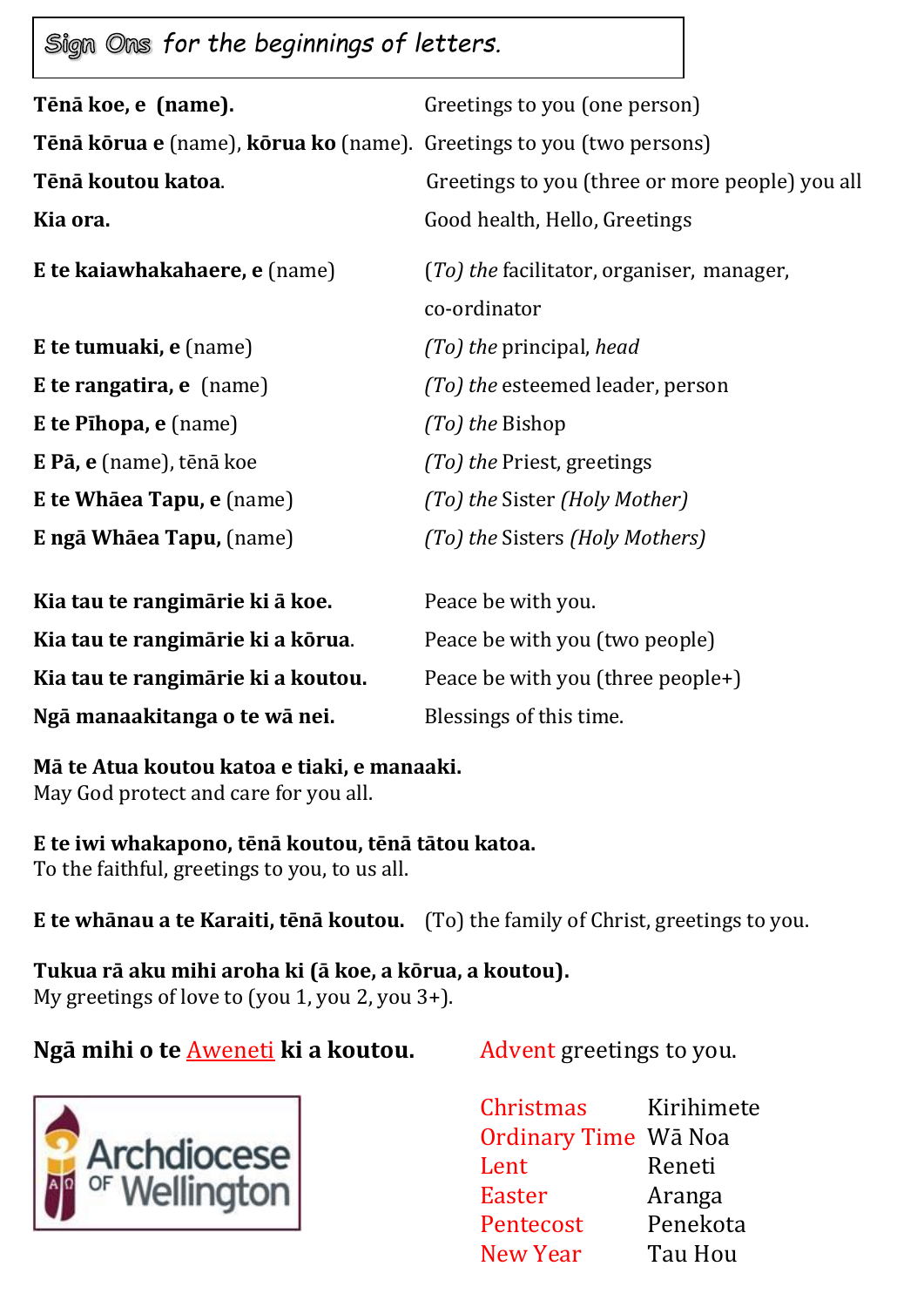**Sign Ons for the beginnings of letters.** 

| Tēnā koe, e (name).                                                  | Greetings to you (one person)                             |
|----------------------------------------------------------------------|-----------------------------------------------------------|
| Tēnā kōrua e (name), kōrua ko (name). Greetings to you (two persons) |                                                           |
| Tēnā koutou katoa.                                                   | Greetings to you (three or more people) you all           |
| Kia ora.                                                             | Good health, Hello, Greetings                             |
| E te kaiawhakahaere, e (name)                                        | (To) the facilitator, organiser, manager,<br>co-ordinator |
| <b>E</b> te tumuaki, e (name)                                        | (To) the principal, head                                  |
| E te rangatira, e (name)                                             | (To) the esteemed leader, person                          |
| E te Pihopa, e (name)                                                | (To) the Bishop                                           |
| E Pā, e (name), tēnā koe                                             | <i>(To) the Priest, greetings</i>                         |
| <b>E te Whāea Tapu, e</b> (name)                                     | (To) the Sister (Holy Mother)                             |
| E ngā Whāea Tapu, (name)                                             | (To) the Sisters (Holy Mothers)                           |
| Kia tau te rangimārie ki ā koe.                                      | Peace be with you.                                        |
| Kia tau te rangimārie ki a kōrua.                                    | Peace be with you (two people)                            |
| Kia tau te rangimārie ki a koutou.                                   | Peace be with you (three people+)                         |
| Ngā manaakitanga o te wā nei.                                        | Blessings of this time.                                   |

**Mā te Atua koutou katoa e tiaki, e manaaki.** May God protect and care for you all.

**E te iwi whakapono, tēnā koutou, tēnā tātou katoa.** To the faithful, greetings to you, to us all.

**E te whānau a te Karaiti, tēnā koutou.** (To) the family of Christ, greetings to you.

**Tukua rā aku mihi aroha ki (ā koe, a kōrua, a koutou).** My greetings of love to (you 1, you 2, you 3+).

**Ngā mihi o te Aweneti ki a koutou.** Advent greetings to you.



Christmas Kirihimete Ordinary Time Wā Noa Lent Reneti Easter Aranga Pentecost Penekota New Year Tau Hou